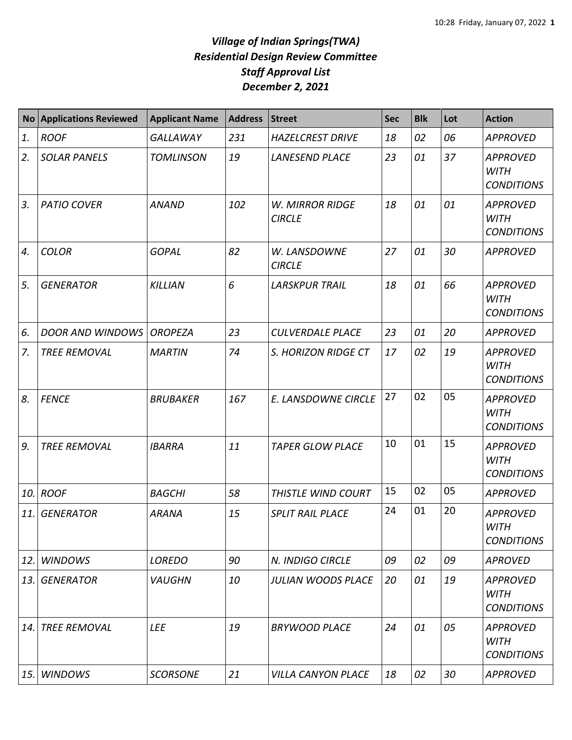## *Village of Indian Springs(TWA) Residential Design Review Committee Staff Approval List December 2, 2021*

| <b>No</b> | <b>Applications Reviewed</b> | <b>Applicant Name</b> | <b>Address</b> | Street                                  | <b>Sec</b> | <b>Blk</b> | Lot | <b>Action</b>                                       |
|-----------|------------------------------|-----------------------|----------------|-----------------------------------------|------------|------------|-----|-----------------------------------------------------|
| 1.        | <b>ROOF</b>                  | <b>GALLAWAY</b>       | 231            | <b>HAZELCREST DRIVE</b>                 | 18         | 02         | 06  | <b>APPROVED</b>                                     |
| 2.        | <b>SOLAR PANELS</b>          | <b>TOMLINSON</b>      | 19             | <b>LANESEND PLACE</b>                   | 23         | 01         | 37  | <b>APPROVED</b><br><b>WITH</b><br><b>CONDITIONS</b> |
| 3.        | <b>PATIO COVER</b>           | <b>ANAND</b>          | 102            | <b>W. MIRROR RIDGE</b><br><b>CIRCLE</b> | 18         | 01         | 01  | <b>APPROVED</b><br><b>WITH</b><br><b>CONDITIONS</b> |
| 4.        | <b>COLOR</b>                 | <b>GOPAL</b>          | 82             | W. LANSDOWNE<br><b>CIRCLE</b>           | 27         | 01         | 30  | <b>APPROVED</b>                                     |
| 5.        | <b>GENERATOR</b>             | <b>KILLIAN</b>        | 6              | <b>LARSKPUR TRAIL</b>                   | 18         | 01         | 66  | <b>APPROVED</b><br><b>WITH</b><br><b>CONDITIONS</b> |
| 6.        | <b>DOOR AND WINDOWS</b>      | <b>OROPEZA</b>        | 23             | <b>CULVERDALE PLACE</b>                 | 23         | 01         | 20  | <b>APPROVED</b>                                     |
| 7.        | <b>TREE REMOVAL</b>          | <b>MARTIN</b>         | 74             | S. HORIZON RIDGE CT                     | 17         | 02         | 19  | <b>APPROVED</b><br><b>WITH</b><br><b>CONDITIONS</b> |
| 8.        | <b>FENCE</b>                 | <b>BRUBAKER</b>       | 167            | E. LANSDOWNE CIRCLE                     | 27         | 02         | 05  | <b>APPROVED</b><br><b>WITH</b><br><b>CONDITIONS</b> |
| 9.        | <b>TREE REMOVAL</b>          | <b>IBARRA</b>         | 11             | <b>TAPER GLOW PLACE</b>                 | 10         | 01         | 15  | <b>APPROVED</b><br><b>WITH</b><br><b>CONDITIONS</b> |
| 10.       | <b>ROOF</b>                  | <b>BAGCHI</b>         | 58             | THISTLE WIND COURT                      | 15         | 02         | 05  | <b>APPROVED</b>                                     |
| 11.       | <b>GENERATOR</b>             | <b>ARANA</b>          | 15             | <b>SPLIT RAIL PLACE</b>                 | 24         | 01         | 20  | <b>APPROVED</b><br>WITH<br><b>CONDITIONS</b>        |
| 12.       | <b>WINDOWS</b>               | <b>LOREDO</b>         | 90             | N. INDIGO CIRCLE                        | 09         | 02         | 09  | <b>APROVED</b>                                      |
| 13.       | <b>GENERATOR</b>             | <b>VAUGHN</b>         | 10             | <b>JULIAN WOODS PLACE</b>               | 20         | 01         | 19  | <b>APPROVED</b><br><b>WITH</b><br><b>CONDITIONS</b> |
| 14.       | <b>TREE REMOVAL</b>          | <b>LEE</b>            | 19             | <b>BRYWOOD PLACE</b>                    | 24         | 01         | 05  | <b>APPROVED</b><br><b>WITH</b><br><b>CONDITIONS</b> |
| 15.       | <b>WINDOWS</b>               | <b>SCORSONE</b>       | 21             | <b>VILLA CANYON PLACE</b>               | 18         | 02         | 30  | <b>APPROVED</b>                                     |